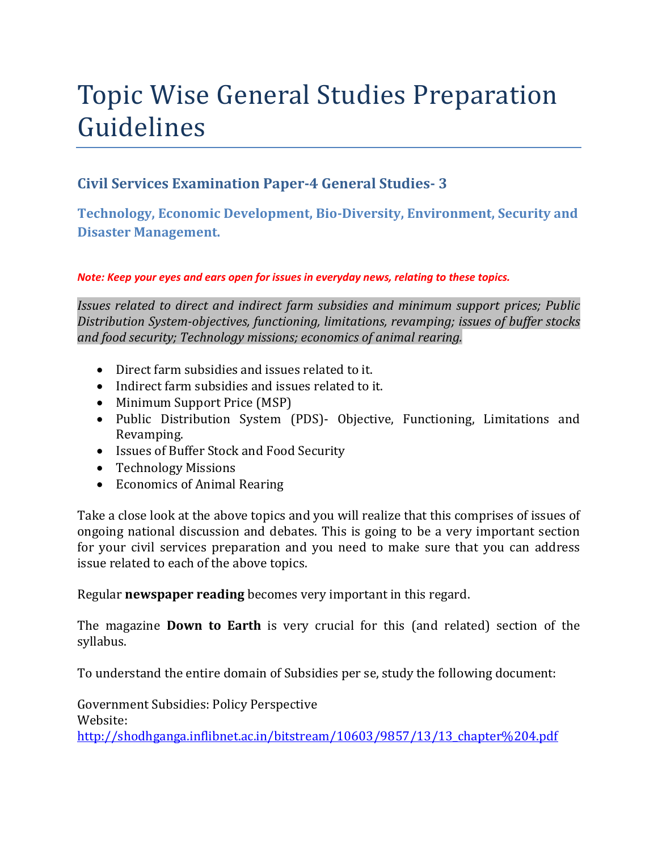# Topic Wise General Studies Preparation Guidelines

### **Civil Services Examination Paper-4 General Studies- 3**

**Technology, Economic Development, Bio-Diversity, Environment, Security and Disaster Management.** 

#### *Note: Keep your eyes and ears open for issues in everyday news, relating to these topics.*

*Issues related to direct and indirect farm subsidies and minimum support prices; Public Distribution System-objectives, functioning, limitations, revamping; issues of buffer stocks and food security; Technology missions; economics of animal rearing.* 

- Direct farm subsidies and issues related to it.
- Indirect farm subsidies and issues related to it.
- Minimum Support Price (MSP)
- Public Distribution System (PDS)- Objective, Functioning, Limitations and Revamping.
- Issues of Buffer Stock and Food Security
- Technology Missions
- Economics of Animal Rearing

Take a close look at the above topics and you will realize that this comprises of issues of ongoing national discussion and debates. This is going to be a very important section for your civil services preparation and you need to make sure that you can address issue related to each of the above topics.

Regular **newspaper reading** becomes very important in this regard.

The magazine **Down to Earth** is very crucial for this (and related) section of the syllabus.

To understand the entire domain of Subsidies per se, study the following document:

Government Subsidies: Policy Perspective Website: http://shodhganga.inflibnet.ac.in/bitstream/10603/9857/13/13\_chapter%204.pdf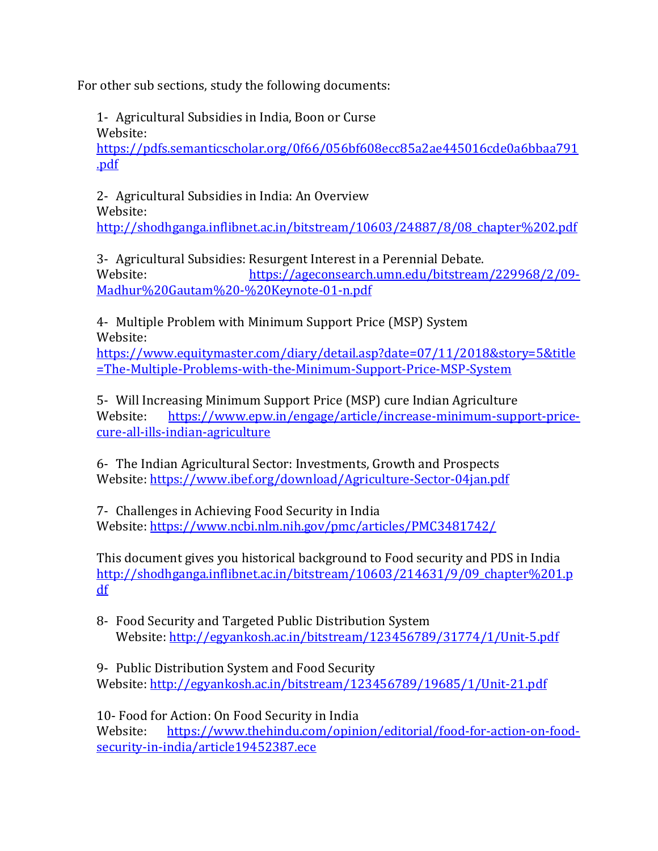For other sub sections, study the following documents:

1- Agricultural Subsidies in India, Boon or Curse Website:

https://pdfs.semanticscholar.org/0f66/056bf608ecc85a2ae445016cde0a6bbaa791 .pdf

2- Agricultural Subsidies in India: An Overview Website:

http://shodhganga.inflibnet.ac.in/bitstream/10603/24887/8/08\_chapter%202.pdf

3- Agricultural Subsidies: Resurgent Interest in a Perennial Debate. Website: https://ageconsearch.umn.edu/bitstream/229968/2/09- Madhur%20Gautam%20-%20Keynote-01-n.pdf

4- Multiple Problem with Minimum Support Price (MSP) System Website:

https://www.equitymaster.com/diary/detail.asp?date=07/11/2018&story=5&title =The-Multiple-Problems-with-the-Minimum-Support-Price-MSP-System

5- Will Increasing Minimum Support Price (MSP) cure Indian Agriculture Website: https://www.epw.in/engage/article/increase-minimum-support-pricecure-all-ills-indian-agriculture

6- The Indian Agricultural Sector: Investments, Growth and Prospects Website: https://www.ibef.org/download/Agriculture-Sector-04jan.pdf

7- Challenges in Achieving Food Security in India Website: https://www.ncbi.nlm.nih.gov/pmc/articles/PMC3481742/

This document gives you historical background to Food security and PDS in India http://shodhganga.inflibnet.ac.in/bitstream/10603/214631/9/09\_chapter%201.p df

8- Food Security and Targeted Public Distribution System Website: http://egyankosh.ac.in/bitstream/123456789/31774/1/Unit-5.pdf

9- Public Distribution System and Food Security Website: http://egyankosh.ac.in/bitstream/123456789/19685/1/Unit-21.pdf

10- Food for Action: On Food Security in India Website: https://www.thehindu.com/opinion/editorial/food-for-action-on-foodsecurity-in-india/article19452387.ece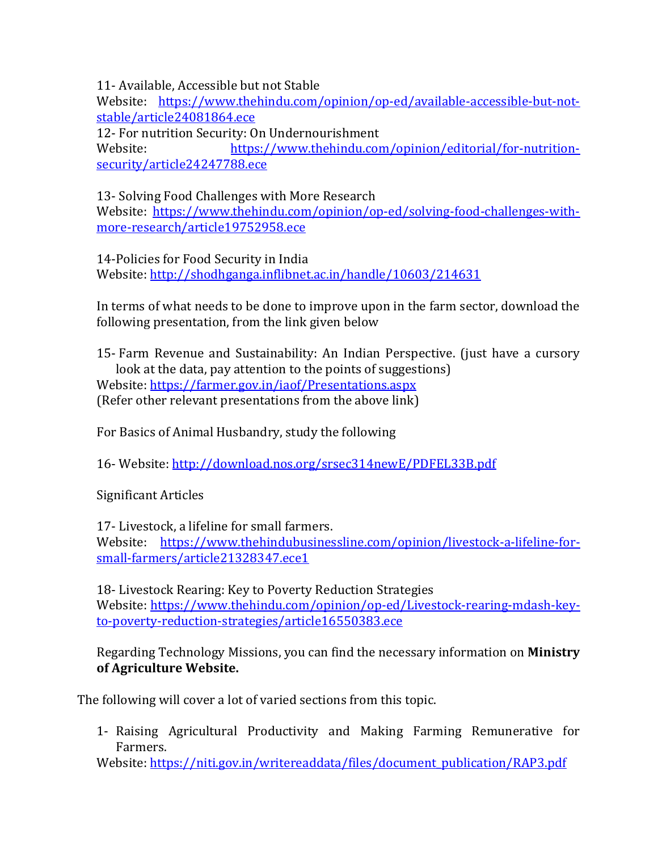11- Available, Accessible but not Stable

Website: https://www.thehindu.com/opinion/op-ed/available-accessible-but-notstable/article24081864.ece

12- For nutrition Security: On Undernourishment

Website: https://www.thehindu.com/opinion/editorial/for-nutritionsecurity/article24247788.ece

13- Solving Food Challenges with More Research

Website: https://www.thehindu.com/opinion/op-ed/solving-food-challenges-withmore-research/article19752958.ece

14-Policies for Food Security in India

Website: http://shodhganga.inflibnet.ac.in/handle/10603/214631

In terms of what needs to be done to improve upon in the farm sector, download the following presentation, from the link given below

15- Farm Revenue and Sustainability: An Indian Perspective. (just have a cursory look at the data, pay attention to the points of suggestions) Website: https://farmer.gov.in/iaof/Presentations.aspx (Refer other relevant presentations from the above link)

For Basics of Animal Husbandry, study the following

16- Website: http://download.nos.org/srsec314newE/PDFEL33B.pdf

Significant Articles

17- Livestock, a lifeline for small farmers. Website: https://www.thehindubusinessline.com/opinion/livestock-a-lifeline-forsmall-farmers/article21328347.ece1

18- Livestock Rearing: Key to Poverty Reduction Strategies Website: https://www.thehindu.com/opinion/op-ed/Livestock-rearing-mdash-keyto-poverty-reduction-strategies/article16550383.ece

Regarding Technology Missions, you can find the necessary information on **Ministry of Agriculture Website.**

The following will cover a lot of varied sections from this topic.

1- Raising Agricultural Productivity and Making Farming Remunerative for Farmers.

Website: https://niti.gov.in/writereaddata/files/document\_publication/RAP3.pdf